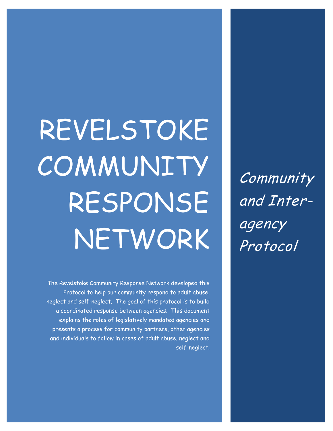# REVELSTOKE COMMUNITY RESPONSE NETWORK

The Revelstoke Community Response Network developed this Protocol to help our community respond to adult abuse, neglect and self-neglect. The goal of this protocol is to build a coordinated response between agencies. This document explains the roles of legislatively mandated agencies and presents a process for community partners, other agencies and individuals to follow in cases of adult abuse, neglect and self-neglect. **Community** and Interagency Protocol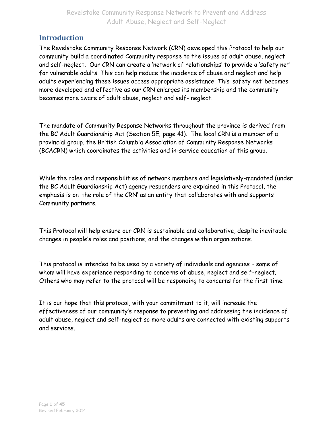#### **Introduction**

The Revelstoke Community Response Network (CRN) developed this Protocol to help our community build a coordinated Community response to the issues of adult abuse, neglect and self-neglect. Our CRN can create a 'network of relationships' to provide a 'safety net' for vulnerable adults. This can help reduce the incidence of abuse and neglect and help adults experiencing these issues access appropriate assistance. This 'safety net' becomes more developed and effective as our CRN enlarges its membership and the community becomes more aware of adult abuse, neglect and self- neglect.

The mandate of Community Response Networks throughout the province is derived from the BC Adult Guardianship Act (Section 5E; page 41). The local CRN is a member of a provincial group, the British Columbia Association of Community Response Networks (BCACRN) which coordinates the activities and in-service education of this group.

While the roles and responsibilities of network members and legislatively-mandated (under the BC Adult Guardianship Act) agency responders are explained in this Protocol, the emphasis is on 'the role of the CRN' as an entity that collaborates with and supports Community partners.

This Protocol will help ensure our CRN is sustainable and collaborative, despite inevitable changes in people's roles and positions, and the changes within organizations.

This protocol is intended to be used by a variety of individuals and agencies – some of whom will have experience responding to concerns of abuse, neglect and self-neglect. Others who may refer to the protocol will be responding to concerns for the first time.

It is our hope that this protocol, with your commitment to it, will increase the effectiveness of our community's response to preventing and addressing the incidence of adult abuse, neglect and self-neglect so more adults are connected with existing supports and services.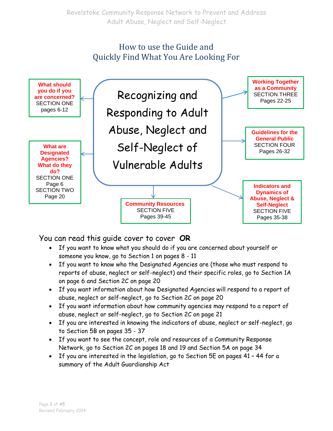### How to use the Guide and Quickly Find What You Are Looking For



You can read this guide cover to cover **OR**

- If you want to know what you should do if you are concerned about yourself or someone you know, go to Section 1 on pages 8 - 11
- If you want to know who the Designated Agencies are (those who must respond to reports of abuse, neglect or self-neglect) and their specific roles, go to Section 1A on page 6 and Section 2C on page 20
- If you want information about how Designated Agencies will respond to a report of abuse, neglect or self-neglect, go to Section 2C on page 20
- If you want information about how community agencies may respond to a report of abuse, neglect or self-neglect, go to Section 2C on page 21
- If you are interested in knowing the indicators of abuse, neglect or self-neglect, go to Section 5B on pages 35 - 37
- If you want to see the concept, role and resources of a Community Response Network, go to Section 2C on pages 18 and 19 and Section 5A on page 34
- If you are interested in the legislation, go to Section 5E on pages 41 44 for a summary of the Adult Guardianship Act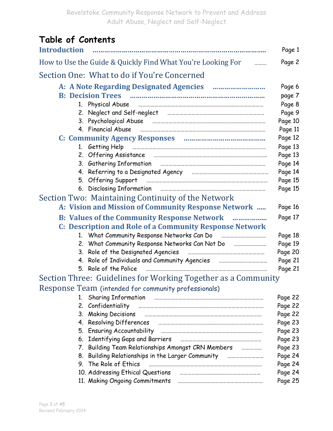### **Table of Contents**

| <b>Introduction</b>                                                                                                                                                                                                                 | Page 1                             |
|-------------------------------------------------------------------------------------------------------------------------------------------------------------------------------------------------------------------------------------|------------------------------------|
| How to Use the Guide & Quickly Find What You're Looking For                                                                                                                                                                         | Page 2<br>$\overline{\phantom{a}}$ |
| Section One: What to do if You're Concerned                                                                                                                                                                                         |                                    |
|                                                                                                                                                                                                                                     | Page 6                             |
| B: Decision Trees <b>manual contract of the Contract Office</b> B:                                                                                                                                                                  | page 7                             |
| 1. Physical Abuse <b>communications</b> in the contract of the contract of the contract of the contract of the contract of the contract of the contract of the contract of the contract of the contract of the contract of the cont | Page 8                             |
|                                                                                                                                                                                                                                     | Page 9                             |
|                                                                                                                                                                                                                                     | Page 10                            |
|                                                                                                                                                                                                                                     | Page 11                            |
|                                                                                                                                                                                                                                     | Page 12                            |
|                                                                                                                                                                                                                                     | Page 13                            |
|                                                                                                                                                                                                                                     | Page 13                            |
|                                                                                                                                                                                                                                     | Page 14                            |
| 4. Referring to a Designated Agency manufacture manufacture and the Referring to a Designated Agency                                                                                                                                | Page 14                            |
| 5. Offering Support <b>www.martime.communication.communication</b>                                                                                                                                                                  | Page 15                            |
|                                                                                                                                                                                                                                     | Page 15                            |
| Section Two: Maintaining Continuity of the Network                                                                                                                                                                                  |                                    |
| A: Vision and Mission of Community Response Network                                                                                                                                                                                 | Page 16                            |
| <b>B: Values of the Community Response Network Electronic Community Response Network</b>                                                                                                                                            | Page 17                            |
| <b>C: Description and Role of a Community Response Network</b>                                                                                                                                                                      |                                    |
|                                                                                                                                                                                                                                     | Page 18                            |
|                                                                                                                                                                                                                                     | Page 19                            |
|                                                                                                                                                                                                                                     | Page 20                            |
| 4. Role of Individuals and Community Agencies                                                                                                                                                                                       | Page 21                            |
| 5. Role of the Police                                                                                                                                                                                                               | Page 21                            |
| Section Three: Guidelines for Working Together as a Community                                                                                                                                                                       |                                    |
| Response Team (intended for community professionals)                                                                                                                                                                                |                                    |
| 1. Sharing Information                                                                                                                                                                                                              | Page 22                            |
| 2. Confidentiality                                                                                                                                                                                                                  | Page 22                            |
| Making Decisions<br>3.                                                                                                                                                                                                              | Page 22                            |
| 4.                                                                                                                                                                                                                                  | Page 23                            |
| 5.                                                                                                                                                                                                                                  | Page 23                            |
| 6.                                                                                                                                                                                                                                  | Page 23                            |
| Building Team Relationships Amongst CRN Members manufactured.<br>7.                                                                                                                                                                 | Page 23                            |
| Building Relationships in the Larger Community <b>Community</b><br>8.                                                                                                                                                               | Page 24                            |
| 9. The Role of Ethics                                                                                                                                                                                                               | Page 24                            |
| 10. Addressing Ethical Questions                                                                                                                                                                                                    | Page 24                            |
| 11. Making Ongoing Commitments                                                                                                                                                                                                      | Page 25                            |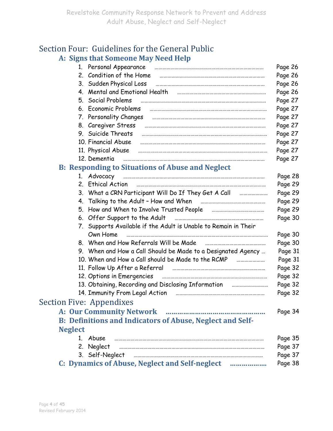|                | Section Four: Guidelines for the General Public                                                                                                                                                                                      |                    |
|----------------|--------------------------------------------------------------------------------------------------------------------------------------------------------------------------------------------------------------------------------------|--------------------|
|                | A: Signs that Someone May Need Help                                                                                                                                                                                                  |                    |
|                |                                                                                                                                                                                                                                      | Page 26            |
|                |                                                                                                                                                                                                                                      | Page 26            |
|                |                                                                                                                                                                                                                                      | Page 26            |
|                |                                                                                                                                                                                                                                      | Page 26            |
|                | 5. Social Problems<br>6. Economic Problems                                                                                                                                                                                           | Page 27            |
|                |                                                                                                                                                                                                                                      | Page 27            |
|                |                                                                                                                                                                                                                                      | Page 27            |
|                | 8. Caregiver Stress<br>9. Suicide Threats                                                                                                                                                                                            | Page 27            |
|                |                                                                                                                                                                                                                                      | Page 27            |
|                | 11. Physical Abuse manufactured and the Abuse manufactured and the manufactured and the Manufacture                                                                                                                                  | Page 27<br>Page 27 |
|                | 12. Dementia <i>manualizaria e contra contra contra contra contra contra contra contra contra contra contra contra contra contra contra contra contra contra contra contra contra contra contra contra contra contra contra cont</i> | Page 27            |
|                | <b>B: Responding to Situations of Abuse and Neglect</b>                                                                                                                                                                              |                    |
|                |                                                                                                                                                                                                                                      | Page 28            |
|                | 2. Ethical Action                                                                                                                                                                                                                    | Page 29            |
|                | 3. What a CRN Participant Will Do If They Get A Call                                                                                                                                                                                 | Page 29            |
|                |                                                                                                                                                                                                                                      | Page 29            |
|                |                                                                                                                                                                                                                                      | Page 29            |
|                |                                                                                                                                                                                                                                      | Page 30            |
|                | 7. Supports Available if the Adult is Unable to Remain in Their                                                                                                                                                                      |                    |
|                | Own Home                                                                                                                                                                                                                             | Page 30            |
|                |                                                                                                                                                                                                                                      | Page 30            |
|                | 9. When and How a Call Should be Made to a Designated Agency                                                                                                                                                                         | Page 31            |
|                | 10. When and How a Call should be Made to the RCMP                                                                                                                                                                                   | Page 31            |
|                | 11. Follow Up After a Referral manufacture manufacture contracts                                                                                                                                                                     | Page 32            |
|                | 12. Options in Emergencies <b>contracts</b> and the contract of the contract of the contract of the contract of the contract of the contract of the contract of the contract of the contract of the contract of the contract of the  | Page 32            |
|                | 13. Obtaining, Recording and Disclosing Information manufacture                                                                                                                                                                      | Page 32            |
|                |                                                                                                                                                                                                                                      | Page 32            |
|                | Section Five: Appendixes                                                                                                                                                                                                             |                    |
|                | A: Our Community Network <b>Election Community Network</b>                                                                                                                                                                           | Page 34            |
|                | <b>B: Definitions and Indicators of Abuse, Neglect and Self-</b>                                                                                                                                                                     |                    |
| <b>Neglect</b> |                                                                                                                                                                                                                                      |                    |
|                | 1. Abuse                                                                                                                                                                                                                             | Page 35            |
|                |                                                                                                                                                                                                                                      | Page 37            |
|                | 3. Self-Neglect                                                                                                                                                                                                                      | Page 37            |
|                | C: Dynamics of Abuse, Neglect and Self-neglect                                                                                                                                                                                       | Page 38            |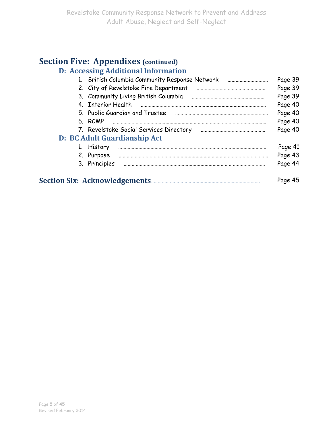### **Section Five: Appendixes (continued)**

#### **D: Accessing Additional Information**

| 1. British Columbia Community Response Network | Page 39    |
|------------------------------------------------|------------|
| 2. City of Revelstoke Fire Department          | Page 39    |
|                                                | Page 39    |
| 4. Interior Health                             | Page 40    |
|                                                | Page 40    |
| 6. RCMP                                        | Page 40    |
| 7. Revelstoke Social Services Directory        | Page 40    |
| D: BC Adult Guardianship Act                   |            |
| 1. History                                     | Page 41    |
| 2. Purpose                                     | Page 43    |
| 3. Principles                                  | Page 44    |
|                                                |            |
|                                                | 45<br>Page |
|                                                |            |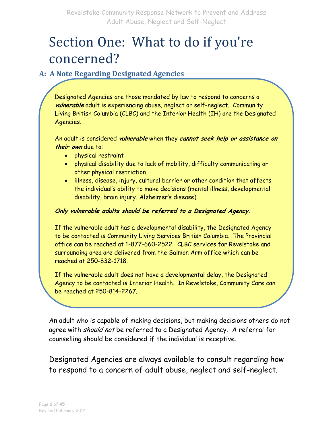## Section One: What to do if you're concerned?

#### **A: A Note Regarding Designated Agencies**

Designated Agencies are those mandated by law to respond to concerns a **vulnerable** adult is experiencing abuse, neglect or self-neglect. Community Living British Columbia (CLBC) and the Interior Health (IH) are the Designated Agencies.

An adult is considered **vulnerable** when they **cannot seek help or assistance on their own** due to:

- physical restraint
- physical disability due to lack of mobility, difficulty communicating or other physical restriction
- illness, disease, injury, cultural barrier or other condition that affects the individual's ability to make decisions (mental illness, developmental disability, brain injury, Alzheimer's disease)

#### **Only vulnerable adults should be referred to a Designated Agency.**

If the vulnerable adult has a developmental disability, the Designated Agency to be contacted is Community Living Services British Columbia. The Provincial office can be reached at 1-877-660-2522. CLBC services for Revelstoke and surrounding area are delivered from the Salmon Arm office which can be reached at 250-832-1718.

If the vulnerable adult does not have a developmental delay, the Designated Agency to be contacted is Interior Health. In Revelstoke, Community Care can be reached at 250-814-2267.

An adult who is capable of making decisions, but making decisions others do not agree with should not be referred to a Designated Agency. A referral for counselling should be considered if the individual is receptive.

Designated Agencies are always available to consult regarding how to respond to a concern of adult abuse, neglect and self-neglect.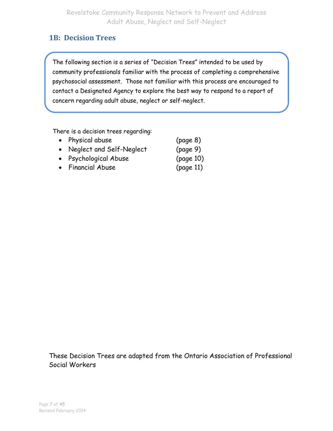#### **1B: Decision Trees**

The following section is a series of "Decision Trees" intended to be used by community professionals familiar with the process of completing a comprehensive psychosocial assessment. Those not familiar with this process are encouraged to contact a Designated Agency to explore the best way to respond to a report of concern regarding adult abuse, neglect or self-neglect.

There is a decision trees regarding:

- Physical abuse (page 8)
- Neglect and Self-Neglect (page 9)
- Psychological Abuse (page 10)
- Financial Abuse (page 11)

These Decision Trees are adapted from the Ontario Association of Professional Social Workers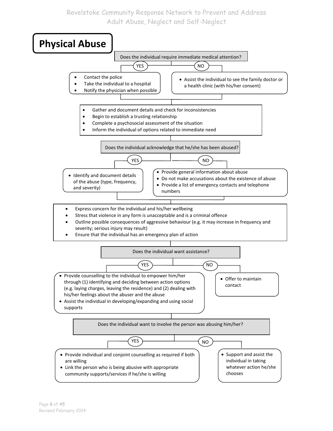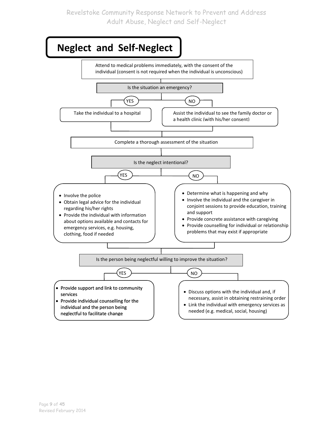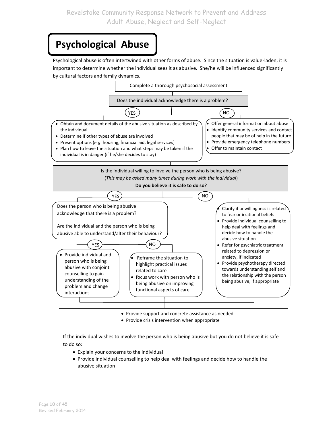### **Psychological Abuse**

Psychological abuse is often intertwined with other forms of abuse. Since the situation is value-laden, it is important to determine whether the individual sees it as abusive. She/he will be influenced significantly by cultural factors and family dynamics.



If the individual wishes to involve the person who is being abusive but you do not believe it is safe to do so:

- Explain your concerns to the individual
- Provide individual counselling to help deal with feelings and decide how to handle the abusive situation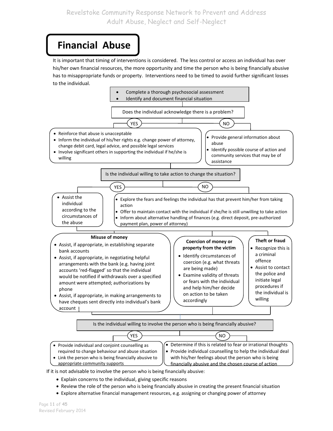### **Financial Abuse**

It is important that timing of interventions is considered. The less control or access an individual has over his/her own financial resources, the more opportunity and time the person who is being financially abusive has to misappropriate funds or property. Interventions need to be timed to avoid further significant losses to the individual.



- Explain concerns to the individual, giving specific reasons
- Review the role of the person who is being financially abusive in creating the present financial situation
- Explore alternative financial management resources, e.g. assigning or changing power of attorney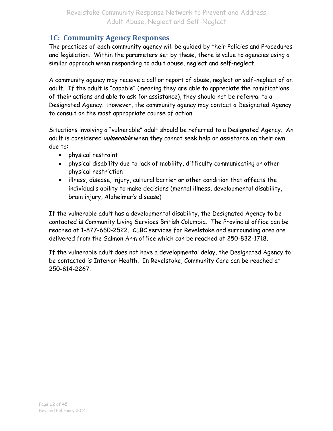#### **1C: Community Agency Responses**

The practices of each community agency will be guided by their Policies and Procedures and legislation. Within the parameters set by these, there is value to agencies using a similar approach when responding to adult abuse, neglect and self-neglect.

A community agency may receive a call or report of abuse, neglect or self-neglect of an adult. If the adult is "capable" (meaning they are able to appreciate the ramifications of their actions and able to ask for assistance), they should not be referral to a Designated Agency. However, the community agency may contact a Designated Agency to consult on the most appropriate course of action.

Situations involving a "vulnerable" adult should be referred to a Designated Agency. An adult is considered **vulnerable** when they cannot seek help or assistance on their own due to:

- physical restraint
- physical disability due to lack of mobility, difficulty communicating or other physical restriction
- illness, disease, injury, cultural barrier or other condition that affects the individual's ability to make decisions (mental illness, developmental disability, brain injury, Alzheimer's disease)

If the vulnerable adult has a developmental disability, the Designated Agency to be contacted is Community Living Services British Columbia. The Provincial office can be reached at 1-877-660-2522. CLBC services for Revelstoke and surrounding area are delivered from the Salmon Arm office which can be reached at 250-832-1718.

If the vulnerable adult does not have a developmental delay, the Designated Agency to be contacted is Interior Health. In Revelstoke, Community Care can be reached at 250-814-2267.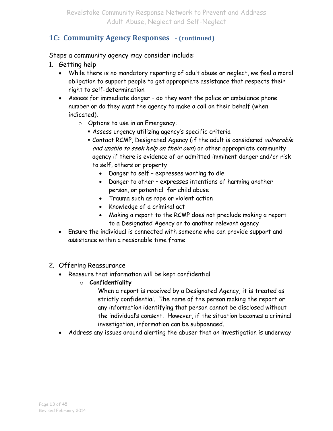#### **1C: Community Agency Responses - (continued)**

Steps a community agency may consider include:

- 1. Getting help
	- While there is no mandatory reporting of adult abuse or neglect, we feel a moral obligation to support people to get appropriate assistance that respects their right to self-determination
	- Assess for immediate danger do they want the police or ambulance phone number or do they want the agency to make a call on their behalf (when indicated).
		- o Options to use in an Emergency:
			- Assess urgency utilizing agency's specific criteria
			- Contact RCMP, Designated Agency (if the adult is considered vulnerable and unable to seek help on their own) or other appropriate community agency if there is evidence of or admitted imminent danger and/or risk to self, others or property
				- Danger to self expresses wanting to die
				- Danger to other expresses intentions of harming another person, or potential for child abuse
				- Trauma such as rape or violent action
				- Knowledge of a criminal act
				- Making a report to the RCMP does not preclude making a report to a Designated Agency or to another relevant agency
	- Ensure the individual is connected with someone who can provide support and assistance within a reasonable time frame
- 2. Offering Reassurance
	- Reassure that information will be kept confidential
		- o **Confidentiality**

When a report is received by a Designated Agency, it is treated as strictly confidential. The name of the person making the report or any information identifying that person cannot be disclosed without the individual's consent. However, if the situation becomes a criminal investigation, information can be subpoenaed.

Address any issues around alerting the abuser that an investigation is underway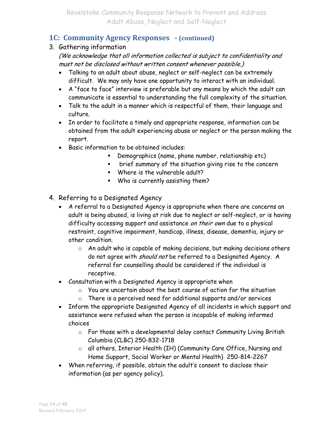#### **1C: Community Agency Responses - (continued)**

#### 3. Gathering information

(We acknowledge that all information collected is subject to confidentiality and must not be disclosed without written consent whenever possible.)

- Talking to an adult about abuse, neglect or self-neglect can be extremely difficult. We may only have one opportunity to interact with an individual.
- A "face to face" interview is preferable but any means by which the adult can communicate is essential to understanding the full complexity of the situation.
- Talk to the adult in a manner which is respectful of them, their language and culture.
- In order to facilitate a timely and appropriate response, information can be obtained from the adult experiencing abuse or neglect or the person making the report.
- Basic information to be obtained includes:
	- Demographics (name, phone number, relationship etc)
	- brief summary of the situation giving rise to the concern
	- Where is the vulnerable adult?
	- Who is currently assisting them?
- 4. Referring to a Designated Agency
	- A referral to a Designated Agency is appropriate when there are concerns an adult is being abused, is living at risk due to neglect or self-neglect, or is having difficulty accessing support and assistance on their own due to a physical restraint, cognitive impairment, handicap, illness, disease, dementia, injury or other condition.
		- o An adult who is capable of making decisions, but making decisions others do not agree with should not be referred to a Designated Agency. A referral for counselling should be considered if the individual is receptive.
	- Consultation with a Designated Agency is appropriate when
		- o You are uncertain about the best course of action for the situation
		- o There is a perceived need for additional supports and/or services
	- Inform the appropriate Designated Agency of all incidents in which support and assistance were refused when the person is incapable of making informed choices
		- $\circ$  For those with a developmental delay contact Community Living British Columbia (CLBC) 250-832-1718
		- o all others, Interior Health (IH) (Community Care Office, Nursing and Home Support, Social Worker or Mental Health) 250-814-2267
	- When referring, if possible, obtain the adult's consent to disclose their information (as per agency policy).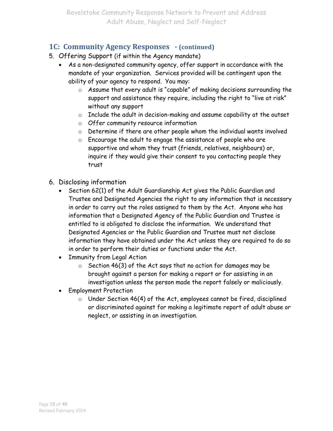#### **1C: Community Agency Responses - (continued)**

- 5. Offering Support (if within the Agency mandate)
	- As a non-designated community agency, offer support in accordance with the mandate of your organization. Services provided will be contingent upon the ability of your agency to respond. You may:
		- o Assume that every adult is "capable" of making decisions surrounding the support and assistance they require, including the right to "live at risk" without any support
		- o Include the adult in decision-making and assume capability at the outset
		- o Offer community resource information
		- $\circ$  Determine if there are other people whom the individual wants involved
		- o Encourage the adult to engage the assistance of people who are supportive and whom they trust (friends, relatives, neighbours) or, inquire if they would give their consent to you contacting people they trust
- 6. Disclosing information
	- Section 62(1) of the Adult Guardianship Act gives the Public Guardian and Trustee and Designated Agencies the right to any information that is necessary in order to carry out the roles assigned to them by the Act. Anyone who has information that a Designated Agency of the Public Guardian and Trustee is entitled to is obligated to disclose the information. We understand that Designated Agencies or the Public Guardian and Trustee must not disclose information they have obtained under the Act unless they are required to do so in order to perform their duties or functions under the Act.
	- Immunity from Legal Action
		- $\circ$  Section 46(3) of the Act says that no action for damages may be brought against a person for making a report or for assisting in an investigation unless the person made the report falsely or maliciously.
	- Employment Protection
		- $\circ$  Under Section 46(4) of the Act, employees cannot be fired, disciplined or discriminated against for making a legitimate report of adult abuse or neglect, or assisting in an investigation.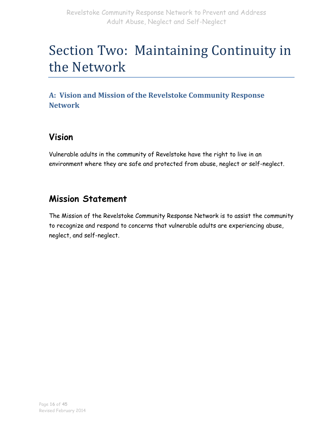# Section Two: Maintaining Continuity in the Network

**A: Vision and Mission of the Revelstoke Community Response Network**

### **Vision**

Vulnerable adults in the community of Revelstoke have the right to live in an environment where they are safe and protected from abuse, neglect or self-neglect.

### **Mission Statement**

The Mission of the Revelstoke Community Response Network is to assist the community to recognize and respond to concerns that vulnerable adults are experiencing abuse, neglect, and self-neglect.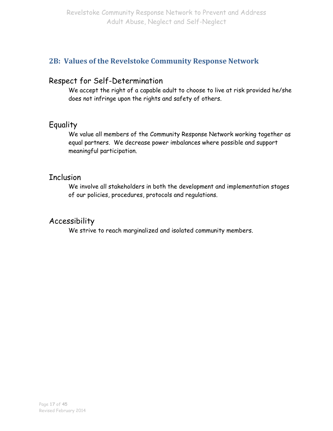#### **2B: Values of the Revelstoke Community Response Network**

#### Respect for Self-Determination

We accept the right of a capable adult to choose to live at risk provided he/she does not infringe upon the rights and safety of others.

#### Equality

We value all members of the Community Response Network working together as equal partners. We decrease power imbalances where possible and support meaningful participation.

#### **Inclusion**

We involve all stakeholders in both the development and implementation stages of our policies, procedures, protocols and regulations.

#### Accessibility

We strive to reach marginalized and isolated community members.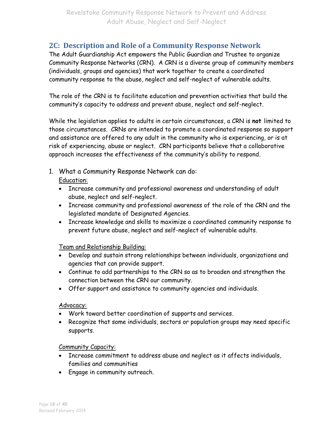#### **2C: Description and Role of a Community Response Network**

The Adult Guardianship Act empowers the Public Guardian and Trustee to organize Community Response Networks (CRN). A CRN is a diverse group of community members (individuals, groups and agencies) that work together to create a coordinated community response to the abuse, neglect and self-neglect of vulnerable adults.

The role of the CRN is to facilitate education and prevention activities that build the community's capacity to address and prevent abuse, neglect and self-neglect.

While the legislation applies to adults in certain circumstances, a CRN is **not** limited to those circumstances. CRNs are intended to promote a coordinated response so support and assistance are offered to any adult in the community who is experiencing, or is at risk of experiencing, abuse or neglect. CRN participants believe that a collaborative approach increases the effectiveness of the community's ability to respond.

1. What a Community Response Network can do:

#### Education:

- Increase community and professional awareness and understanding of adult abuse, neglect and self-neglect.
- Increase community and professional awareness of the role of the CRN and the legislated mandate of Designated Agencies.
- Increase knowledge and skills to maximize a coordinated community response to prevent future abuse, neglect and self-neglect of vulnerable adults.

#### Team and Relationship Building:

- Develop and sustain strong relationships between individuals, organizations and agencies that can provide support.
- Continue to add partnerships to the CRN so as to broaden and strengthen the connection between the CRN our community.
- Offer support and assistance to community agencies and individuals.

#### Advocacy:

- Work toward better coordination of supports and services.
- Recognize that some individuals, sectors or population groups may need specific supports.

#### Community Capacity:

- Increase commitment to address abuse and neglect as it affects individuals, families and communities
- Engage in community outreach.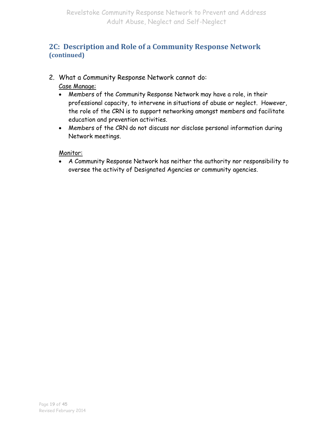#### **2C: Description and Role of a Community Response Network (continued)**

- 2. What a Community Response Network cannot do: Case Manage:
	- Members of the Community Response Network may have a role, in their professional capacity, to intervene in situations of abuse or neglect. However, the role of the CRN is to support networking amongst members and facilitate education and prevention activities.
	- Members of the CRN do not discuss nor disclose personal information during Network meetings.

#### Monitor:

 A Community Response Network has neither the authority nor responsibility to oversee the activity of Designated Agencies or community agencies.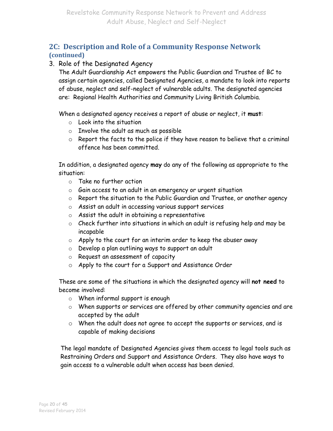#### **2C: Description and Role of a Community Response Network (continued)**

#### 3. Role of the Designated Agency

The Adult Guardianship Act empowers the Public Guardian and Trustee of BC to assign certain agencies, called Designated Agencies, a mandate to look into reports of abuse, neglect and self-neglect of vulnerable adults. The designated agencies are: Regional Health Authorities and Community Living British Columbia.

When a designated agency receives a report of abuse or neglect, it **must**:

- o Look into the situation
- o Involve the adult as much as possible
- o Report the facts to the police if they have reason to believe that a criminal offence has been committed.

In addition, a designated agency **may** do any of the following as appropriate to the situation:

- o Take no further action
- o Gain access to an adult in an emergency or urgent situation
- o Report the situation to the Public Guardian and Trustee, or another agency
- o Assist an adult in accessing various support services
- $\circ$  Assist the adult in obtaining a representative
- o Check further into situations in which an adult is refusing help and may be incapable
- $\circ$  Apply to the court for an interim order to keep the abuser away
- o Develop a plan outlining ways to support an adult
- o Request an assessment of capacity
- o Apply to the court for a Support and Assistance Order

These are some of the situations in which the designated agency will **not need** to become involved:

- o When informal support is enough
- o When supports or services are offered by other community agencies and are accepted by the adult
- o When the adult does not agree to accept the supports or services, and is capable of making decisions

The legal mandate of Designated Agencies gives them access to legal tools such as Restraining Orders and Support and Assistance Orders. They also have ways to gain access to a vulnerable adult when access has been denied.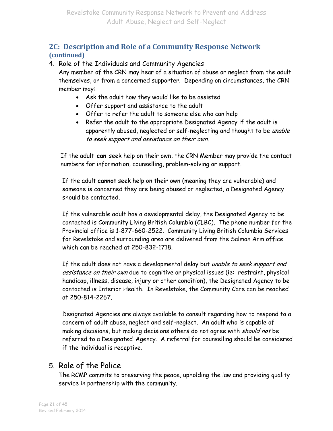#### **2C: Description and Role of a Community Response Network (continued)**

#### 4. Role of the Individuals and Community Agencies

Any member of the CRN may hear of a situation of abuse or neglect from the adult themselves, or from a concerned supporter. Depending on circumstances, the CRN member may:

- Ask the adult how they would like to be assisted
- Offer support and assistance to the adult
- Offer to refer the adult to someone else who can help
- Refer the adult to the appropriate Designated Agency if the adult is apparently abused, neglected or self-neglecting and thought to be unable to seek support and assistance on their own.

If the adult **can** seek help on their own, the CRN Member may provide the contact numbers for information, counselling, problem-solving or support.

If the adult **cannot** seek help on their own (meaning they are vulnerable) and someone is concerned they are being abused or neglected, a Designated Agency should be contacted.

If the vulnerable adult has a developmental delay, the Designated Agency to be contacted is Community Living British Columbia (CLBC). The phone number for the Provincial office is 1-877-660-2522. Community Living British Columbia Services for Revelstoke and surrounding area are delivered from the Salmon Arm office which can be reached at 250-832-1718.

If the adult does not have a developmental delay but unable to seek support and assistance on their own due to cognitive or physical issues (ie: restraint, physical handicap, illness, disease, injury or other condition), the Designated Agency to be contacted is Interior Health. In Revelstoke, the Community Care can be reached at 250-814-2267.

Designated Agencies are always available to consult regarding how to respond to a concern of adult abuse, neglect and self-neglect. An adult who is capable of making decisions, but making decisions others do not agree with should not be referred to a Designated Agency. A referral for counselling should be considered if the individual is receptive.

#### 5. Role of the Police

The RCMP commits to preserving the peace, upholding the law and providing quality service in partnership with the community.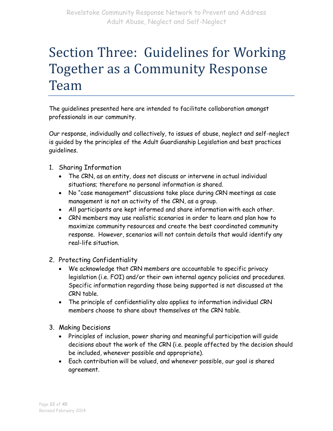# Section Three: Guidelines for Working Together as a Community Response Team

The guidelines presented here are intended to facilitate collaboration amongst professionals in our community.

Our response, individually and collectively, to issues of abuse, neglect and self-neglect is guided by the principles of the Adult Guardianship Legislation and best practices guidelines.

- 1. Sharing Information
	- The CRN, as an entity, does not discuss or intervene in actual individual situations; therefore no personal information is shared.
	- No "case management" discussions take place during CRN meetings as case management is not an activity of the CRN, as a group.
	- All participants are kept informed and share information with each other.
	- CRN members may use realistic scenarios in order to learn and plan how to maximize community resources and create the best coordinated community response. However, scenarios will not contain details that would identify any real-life situation.
- 2. Protecting Confidentiality
	- We acknowledge that CRN members are accountable to specific privacy legislation (i.e. FOI) and/or their own internal agency policies and procedures. Specific information regarding those being supported is not discussed at the CRN table.
	- The principle of confidentiality also applies to information individual CRN members choose to share about themselves at the CRN table.
- 3. Making Decisions
	- Principles of inclusion, power sharing and meaningful participation will guide decisions about the work of the CRN (i.e. people affected by the decision should be included, whenever possible and appropriate).
	- Each contribution will be valued, and whenever possible, our goal is shared agreement.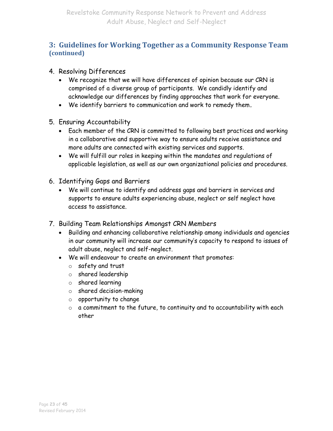#### **3: Guidelines for Working Together as a Community Response Team (continued)**

- 4. Resolving Differences
	- We recognize that we will have differences of opinion because our CRN is comprised of a diverse group of participants. We candidly identify and acknowledge our differences by finding approaches that work for everyone.
	- We identify barriers to communication and work to remedy them**.**
- 5. Ensuring Accountability
	- Each member of the CRN is committed to following best practices and working in a collaborative and supportive way to ensure adults receive assistance and more adults are connected with existing services and supports.
	- We will fulfill our roles in keeping within the mandates and regulations of applicable legislation, as well as our own organizational policies and procedures.
- 6. Identifying Gaps and Barriers
	- We will continue to identify and address gaps and barriers in services and supports to ensure adults experiencing abuse, neglect or self neglect have access to assistance.
- 7. Building Team Relationships Amongst CRN Members
	- Building and enhancing collaborative relationship among individuals and agencies in our community will increase our community's capacity to respond to issues of adult abuse, neglect and self-neglect.
	- We will endeavour to create an environment that promotes:
		- o safety and trust
		- o shared leadership
		- o shared learning
		- o shared decision-making
		- o opportunity to change
		- $\circ$  a commitment to the future, to continuity and to accountability with each other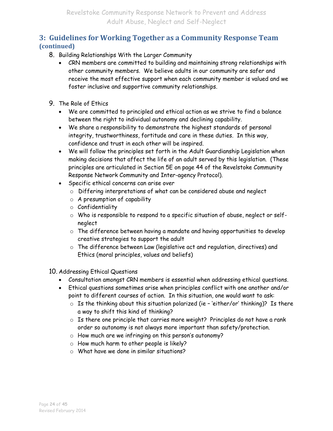#### **3: Guidelines for Working Together as a Community Response Team (continued)**

- 8. Building Relationships With the Larger Community
	- CRN members are committed to building and maintaining strong relationships with other community members. We believe adults in our community are safer and receive the most effective support when each community member is valued and we foster inclusive and supportive community relationships.
- 9. The Role of Ethics
	- We are committed to principled and ethical action as we strive to find a balance between the right to individual autonomy and declining capability.
	- We share a responsibility to demonstrate the highest standards of personal integrity, trustworthiness, fortitude and care in these duties. In this way, confidence and trust in each other will be inspired.
	- We will follow the principles set forth in the Adult Guardianship Legislation when making decisions that affect the life of an adult served by this legislation. (These principles are articulated in Section 5E on page 44 of the Revelstoke Community Response Network Community and Inter-agency Protocol).
	- Specific ethical concerns can arise over
		- o Differing interpretations of what can be considered abuse and neglect
		- $\circ$  A presumption of capability
		- o Confidentiality
		- o Who is responsible to respond to a specific situation of abuse, neglect or selfneglect
		- $\circ$  The difference between having a mandate and having opportunities to develop creative strategies to support the adult
		- o The difference between Law (legislative act and regulation, directives) and Ethics (moral principles, values and beliefs)

#### 10. Addressing Ethical Questions

- Consultation amongst CRN members is essential when addressing ethical questions.
- Ethical questions sometimes arise when principles conflict with one another and/or point to different courses of action. In this situation, one would want to ask:
	- $\circ$  Is the thinking about this situation polarized (ie 'either/or' thinking)? Is there a way to shift this kind of thinking?
	- o Is there one principle that carries more weight? Principles do not have a rank order so autonomy is not always more important than safety/protection.
	- o How much are we infringing on this person's autonomy?
	- o How much harm to other people is likely?
	- o What have we done in similar situations?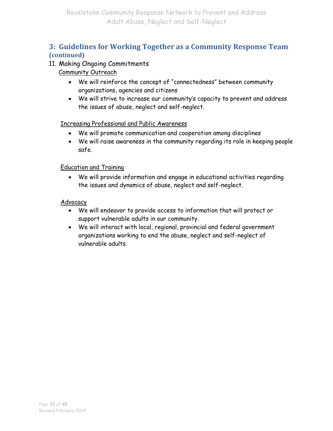#### **3: Guidelines for Working Together as a Community Response Team (continued)**

#### 11. Making Ongoing Commitments

Community Outreach

- We will reinforce the concept of "connectedness" between community organizations, agencies and citizens
- We will strive to increase our community's capacity to prevent and address the issues of abuse, neglect and self-neglect.

#### Increasing Professional and Public Awareness

- We will promote communication and cooperation among disciplines
- We will raise awareness in the community regarding its role in keeping people safe.

#### Education and Training

 We will provide information and engage in educational activities regarding the issues and dynamics of abuse, neglect and self-neglect.

#### Advocacy

- We will endeavor to provide access to information that will protect or support vulnerable adults in our community.
- We will interact with local, regional, provincial and federal government organizations working to end the abuse, neglect and self-neglect of vulnerable adults.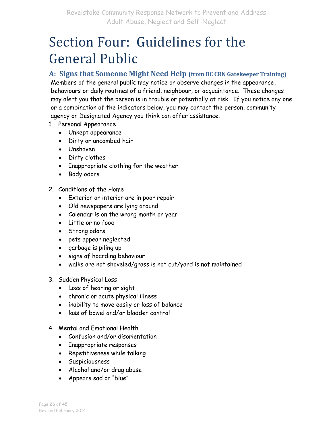# Section Four: Guidelines for the General Public

#### **A: Signs that Someone Might Need Help (from BC CRN Gatekeeper Training)**

Members of the general public may notice or observe changes in the appearance, behaviours or daily routines of a friend, neighbour, or acquaintance. These changes may alert you that the person is in trouble or potentially at risk. If you notice any one or a combination of the indicators below, you may contact the person, community agency or Designated Agency you think can offer assistance.

- 1. Personal Appearance
	- Unkept appearance
	- Dirty or uncombed hair
	- Unshaven
	- Dirty clothes
	- Inappropriate clothing for the weather
	- Body odors
- 2. Conditions of the Home
	- Exterior or interior are in poor repair
	- Old newspapers are lying around
	- Calendar is on the wrong month or year
	- Little or no food
	- Strong odors
	- pets appear neglected
	- garbage is piling up
	- signs of hoarding behaviour
	- walks are not shoveled/grass is not cut/yard is not maintained
- 3. Sudden Physical Loss
	- Loss of hearing or sight
	- chronic or acute physical illness
	- inability to move easily or loss of balance
	- loss of bowel and/or bladder control
- 4. Mental and Emotional Health
	- Confusion and/or disorientation
	- Inappropriate responses
	- Repetitiveness while talking
	- Suspiciousness
	- Alcohol and/or drug abuse
	- Appears sad or "blue"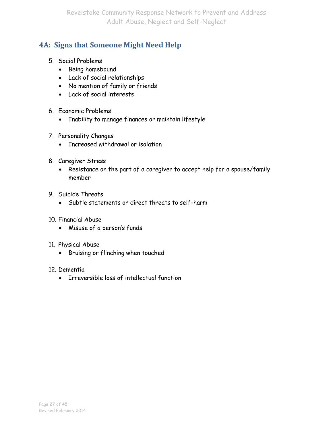#### **4A: Signs that Someone Might Need Help**

- 5. Social Problems
	- Being homebound
	- Lack of social relationships
	- No mention of family or friends
	- Lack of social interests
- 6. Economic Problems
	- Inability to manage finances or maintain lifestyle
- 7. Personality Changes
	- Increased withdrawal or isolation
- 8. Caregiver Stress
	- Resistance on the part of a caregiver to accept help for a spouse/family member
- 9. Suicide Threats
	- Subtle statements or direct threats to self-harm
- 10. Financial Abuse
	- Misuse of a person's funds
- 11. Physical Abuse
	- Bruising or flinching when touched
- 12. Dementia
	- Irreversible loss of intellectual function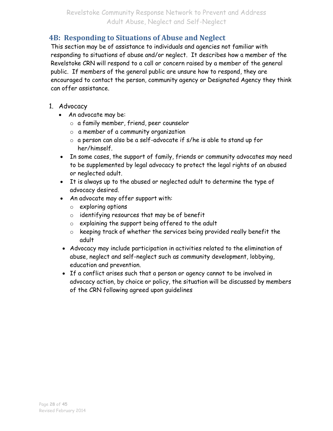#### **4B: Responding to Situations of Abuse and Neglect**

This section may be of assistance to individuals and agencies not familiar with responding to situations of abuse and/or neglect. It describes how a member of the Revelstoke CRN will respond to a call or concern raised by a member of the general public. If members of the general public are unsure how to respond, they are encouraged to contact the person, community agency or Designated Agency they think can offer assistance.

#### 1. Advocacy

- An advocate may be:
	- o a family member, friend, peer counselor
	- o a member of a community organization
	- o a person can also be a self-advocate if s/he is able to stand up for her/himself.
- In some cases, the support of family, friends or community advocates may need to be supplemented by legal advocacy to protect the legal rights of an abused or neglected adult.
- It is always up to the abused or neglected adult to determine the type of advocacy desired.
- An advocate may offer support with:
	- o exploring options
	- o identifying resources that may be of benefit
	- o explaining the support being offered to the adult
	- o keeping track of whether the services being provided really benefit the adult
- Advocacy may include participation in activities related to the elimination of abuse, neglect and self-neglect such as community development, lobbying, education and prevention.
- If a conflict arises such that a person or agency cannot to be involved in advocacy action, by choice or policy, the situation will be discussed by members of the CRN following agreed upon guidelines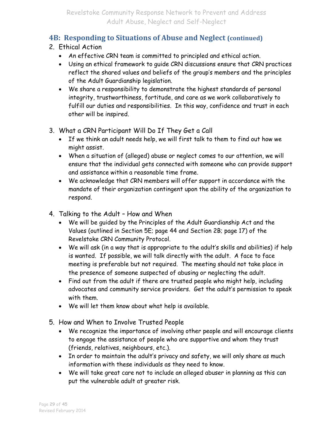- 2. Ethical Action
	- An effective CRN team is committed to principled and ethical action.
	- Using an ethical framework to guide CRN discussions ensure that CRN practices reflect the shared values and beliefs of the group's members and the principles of the Adult Guardianship legislation.
	- We share a responsibility to demonstrate the highest standards of personal integrity, trustworthiness, fortitude, and care as we work collaboratively to fulfill our duties and responsibilities. In this way, confidence and trust in each other will be inspired.
- 3. What a CRN Participant Will Do If They Get a Call
	- If we think an adult needs help, we will first talk to them to find out how we might assist.
	- When a situation of (alleged) abuse or neglect comes to our attention, we will ensure that the individual gets connected with someone who can provide support and assistance within a reasonable time frame.
	- We acknowledge that CRN members will offer support in accordance with the mandate of their organization contingent upon the ability of the organization to respond.
- 4. Talking to the Adult How and When
	- We will be guided by the Principles of the Adult Guardianship Act and the Values (outlined in Section 5E; page 44 and Section 2B; page 17) of the Revelstoke CRN Community Protocol.
	- We will ask (in a way that is appropriate to the adult's skills and abilities) if help is wanted. If possible, we will talk directly with the adult. A face to face meeting is preferable but not required. The meeting should not take place in the presence of someone suspected of abusing or neglecting the adult.
	- Find out from the adult if there are trusted people who might help, including advocates and community service providers. Get the adult's permission to speak with them.
	- We will let them know about what help is available.
- 5. How and When to Involve Trusted People
	- We recognize the importance of involving other people and will encourage clients to engage the assistance of people who are supportive and whom they trust (friends, relatives, neighbours, etc.).
	- In order to maintain the adult's privacy and safety, we will only share as much information with these individuals as they need to know.
	- We will take great care not to include an alleged abuser in planning as this can put the vulnerable adult at greater risk.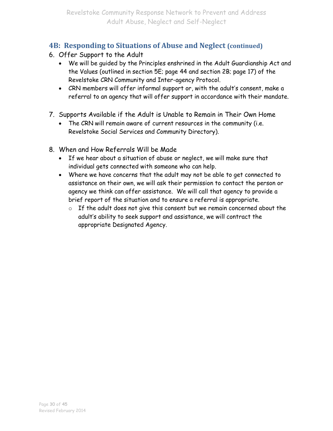- 6. Offer Support to the Adult
	- We will be guided by the Principles enshrined in the Adult Guardianship Act and the Values (outlined in section 5E; page 44 and section 2B; page 17) of the Revelstoke CRN Community and Inter-agency Protocol.
	- CRN members will offer informal support or, with the adult's consent, make a referral to an agency that will offer support in accordance with their mandate.
- 7. Supports Available if the Adult is Unable to Remain in Their Own Home
	- The CRN will remain aware of current resources in the community (i.e. Revelstoke Social Services and Community Directory).
- 8. When and How Referrals Will be Made
	- If we hear about a situation of abuse or neglect, we will make sure that individual gets connected with someone who can help.
	- Where we have concerns that the adult may not be able to get connected to assistance on their own, we will ask their permission to contact the person or agency we think can offer assistance. We will call that agency to provide a brief report of the situation and to ensure a referral is appropriate.
		- $\circ$  If the adult does not give this consent but we remain concerned about the adult's ability to seek support and assistance, we will contract the appropriate Designated Agency.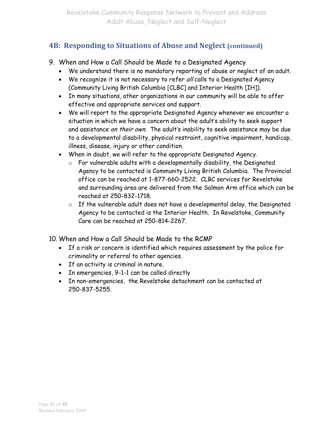- 9. When and How a Call Should be Made to a Designated Agency
	- We understand there is no mandatory reporting of abuse or neglect of an adult.
	- We recognize it is not necessary to refer all calls to a Designated Agency (Community Living British Columbia [CLBC] and Interior Health [IH]).
	- In many situations, other organizations in our community will be able to offer effective and appropriate services and support.
	- We will report to the appropriate Designated Agency whenever we encounter a situation in which we have a concern about the adult's ability to seek support and assistance on their own. The adult's inability to seek assistance may be due to a developmental disability, physical restraint, cognitive impairment, handicap, illness, disease, injury or other condition.
	- When in doubt, we will refer to the appropriate Designated Agency.
		- o For vulnerable adults with a developmentally disability, the Designated Agency to be contacted is Community Living British Columbia. The Provincial office can be reached at 1-877-660-2522. CLBC services for Revelstoke and surrounding area are delivered from the Salmon Arm office which can be reached at 250-832-1718.
		- o If the vulnerable adult does not have a developmental delay, the Designated Agency to be contacted is the Interior Health. In Revelstoke, Community Care can be reached at 250-814-2267.

10. When and How a Call Should be Made to the RCMP

- If a risk or concern is identified which requires assessment by the police for criminality or referral to other agencies.
- If an activity is criminal in nature.
- In emergencies, 9-1-1 can be called directly
- In non-emergencies, the Revelstoke detachment can be contacted at 250-837-5255.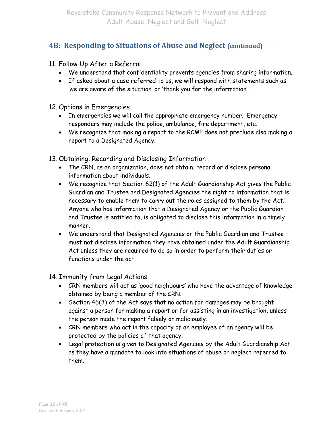#### 11. Follow Up After a Referral

- We understand that confidentiality prevents agencies from sharing information.
- If asked about a case referred to us, we will respond with statements such as 'we are aware of the situation' or 'thank you for the information'.
- 12. Options in Emergencies
	- In emergencies we will call the appropriate emergency number. Emergency responders may include the police, ambulance, fire department, etc.
	- We recognize that making a report to the RCMP does not preclude also making a report to a Designated Agency.
- 13. Obtaining, Recording and Disclosing Information
	- The CRN, as an organization, does not obtain, record or disclose personal information about individuals.
	- We recognize that Section 62(1) of the Adult Guardianship Act gives the Public Guardian and Trustee and Designated Agencies the right to information that is necessary to enable them to carry out the roles assigned to them by the Act. Anyone who has information that a Designated Agency or the Public Guardian and Trustee is entitled to, is obligated to disclose this information in a timely manner.
	- We understand that Designated Agencies or the Public Guardian and Trustee must not disclose information they have obtained under the Adult Guardianship Act unless they are required to do so in order to perform their duties or functions under the act.

#### 14. Immunity from Legal Actions

- CRN members will act as 'good neighbours' who have the advantage of knowledge obtained by being a member of the CRN.
- Section 46(3) of the Act says that no action for damages may be brought against a person for making a report or for assisting in an investigation, unless the person made the report falsely or maliciously.
- CRN members who act in the capacity of an employee of an agency will be protected by the policies of that agency.
- Legal protection is given to Designated Agencies by the Adult Guardianship Act as they have a mandate to look into situations of abuse or neglect referred to them.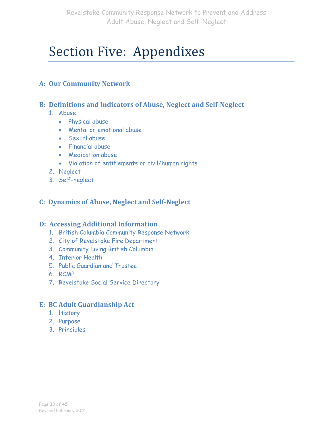# Section Five: Appendixes

#### **A: Our Community Network**

#### **B: Definitions and Indicators of Abuse, Neglect and Self-Neglect**

- 1. Abuse
	- Physical abuse
	- Mental or emotional abuse
	- Sexual abuse
	- Financial abuse
	- Medication abuse
	- Violation of entitlements or civil/human rights
- 2. Neglect
- 3. Self-neglect

#### **C: Dynamics of Abuse, Neglect and Self-Neglect**

#### **D: Accessing Additional Information**

- 1. British Columbia Community Response Network
- 2. City of Revelstoke Fire Department
- 3. Community Living British Columbia
- 4. Interior Health
- 5. Public Guardian and Trustee
- 6. RCMP
- 7. Revelstoke Social Service Directory

#### **E: BC Adult Guardianship Act**

- 1. History
- 2. Purpose
- 3. Principles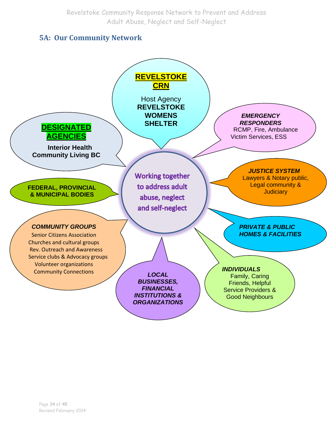#### **5A: Our Community Network**

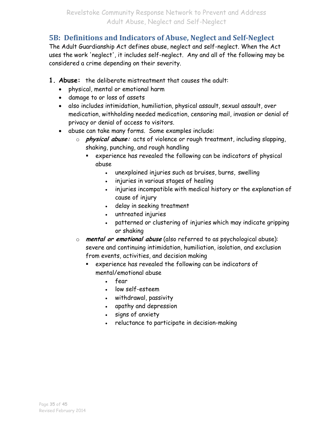#### **5B: Definitions and Indicators of Abuse, Neglect and Self-Neglect**

The Adult Guardianship Act defines abuse, neglect and self-neglect. When the Act uses the work 'neglect', it includes self-neglect. Any and all of the following may be considered a crime depending on their severity.

- **1. Abuse:** the deliberate mistreatment that causes the adult:
	- physical, mental or emotional harm
	- damage to or loss of assets
	- also includes intimidation, humiliation, physical assault, sexual assault, over medication, withholding needed medication, censoring mail, invasion or denial of privacy or denial of access to visitors.
	- abuse can take many forms. Some examples include:
		- o **physical abuse:** acts of violence or rough treatment, including slapping, shaking, punching, and rough handling
			- experience has revealed the following can be indicators of physical abuse
				- unexplained injuries such as bruises, burns, swelling
				- injuries in various stages of healing
				- $\cdot$  injuries incompatible with medical history or the explanation of cause of injury
				- delay in seeking treatment
				- untreated injuries
				- patterned or clustering of injuries which may indicate gripping or shaking
		- o **mental or emotional abuse** (also referred to as psychological abuse): severe and continuing intimidation, humiliation, isolation, and exclusion from events, activities, and decision making
			- experience has revealed the following can be indicators of mental/emotional abuse
				- fear
				- low self-esteem
				- withdrawal, passivity
				- apathy and depression
				- signs of anxiety
				- reluctance to participate in decision-making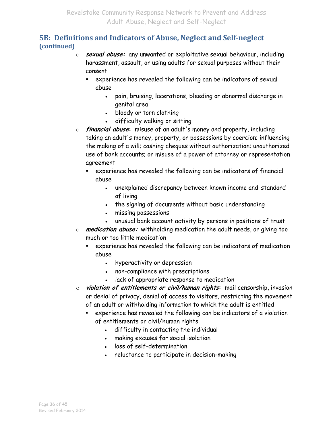#### **5B: Definitions and Indicators of Abuse, Neglect and Self-neglect (continued)**

- o **sexual abuse:** any unwanted or exploitative sexual behaviour, including harassment, assault, or using adults for sexual purposes without their consent
	- experience has revealed the following can be indicators of sexual abuse
		- pain, bruising, lacerations, bleeding or abnormal discharge in genital area
		- bloody or torn clothing
		- difficulty walking or sitting
- o **financial abuse:** misuse of an adult's money and property, including taking an adult's money, property, or possessions by coercion; influencing the making of a will; cashing cheques without authorization; unauthorized use of bank accounts; or misuse of a power of attorney or representation agreement
	- experience has revealed the following can be indicators of financial abuse
		- unexplained discrepancy between known income and standard of living
		- . the signing of documents without basic understanding
		- missing possessions
		- unusual bank account activity by persons in positions of trust
- o **medication abuse:** withholding medication the adult needs, or giving too much or too little medication
	- experience has revealed the following can be indicators of medication abuse
		- hyperactivity or depression
		- non-compliance with prescriptions
		- lack of appropriate response to medication
- o **violation of entitlements or civil/human rights:** mail censorship, invasion or denial of privacy, denial of access to visitors, restricting the movement of an adult or withholding information to which the adult is entitled
	- experience has revealed the following can be indicators of a violation of entitlements or civil/human rights
		- difficulty in contacting the individual
		- making excuses for social isolation
		- loss of self-determination
		- reluctance to participate in decision-making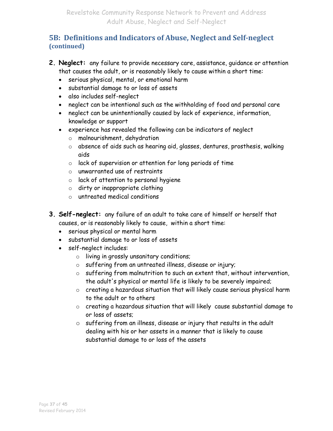#### **5B: Definitions and Indicators of Abuse, Neglect and Self-neglect (continued)**

- **2. Neglect:** any failure to provide necessary care, assistance, guidance or attention that causes the adult, or is reasonably likely to cause within a short time:
	- serious physical, mental, or emotional harm
	- substantial damage to or loss of assets
	- also includes self-neglect
	- neglect can be intentional such as the withholding of food and personal care
	- neglect can be unintentionally caused by lack of experience, information, knowledge or support
	- experience has revealed the following can be indicators of neglect
		- o malnourishment, dehydration
		- o absence of aids such as hearing aid, glasses, dentures, prosthesis, walking aids
		- o lack of supervision or attention for long periods of time
		- o unwarranted use of restraints
		- o lack of attention to personal hygiene
		- o dirty or inappropriate clothing
		- o untreated medical conditions
- **3. Self-neglect:** any failure of an adult to take care of himself or herself that causes, or is reasonably likely to cause, within a short time:
	- serious physical or mental harm
	- substantial damage to or loss of assets
	- self-neglect includes:
		- o living in grossly unsanitary conditions;
		- o suffering from an untreated illness, disease or injury;
		- o suffering from malnutrition to such an extent that, without intervention, the adult's physical or mental life is likely to be severely impaired;
		- o creating a hazardous situation that will likely cause serious physical harm to the adult or to others
		- o creating a hazardous situation that will likely cause substantial damage to or loss of assets;
		- o suffering from an illness, disease or injury that results in the adult dealing with his or her assets in a manner that is likely to cause substantial damage to or loss of the assets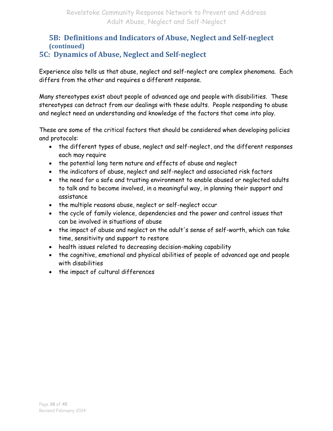### **5B: Definitions and Indicators of Abuse, Neglect and Self-neglect (continued)**

#### **5C: Dynamics of Abuse, Neglect and Self-neglect**

Experience also tells us that abuse, neglect and self-neglect are complex phenomena. Each differs from the other and requires a different response.

Many stereotypes exist about people of advanced age and people with disabilities. These stereotypes can detract from our dealings with these adults. People responding to abuse and neglect need an understanding and knowledge of the factors that come into play.

These are some of the critical factors that should be considered when developing policies and protocols:

- the different types of abuse, neglect and self-neglect, and the different responses each may require
- the potential long term nature and effects of abuse and neglect
- the indicators of abuse, neglect and self-neglect and associated risk factors
- the need for a safe and trusting environment to enable abused or neglected adults to talk and to become involved, in a meaningful way, in planning their support and assistance
- the multiple reasons abuse, neglect or self-neglect occur
- the cycle of family violence, dependencies and the power and control issues that can be involved in situations of abuse
- the impact of abuse and neglect on the adult's sense of self-worth, which can take time, sensitivity and support to restore
- health issues related to decreasing decision-making capability
- the cognitive, emotional and physical abilities of people of advanced age and people with disabilities
- the impact of cultural differences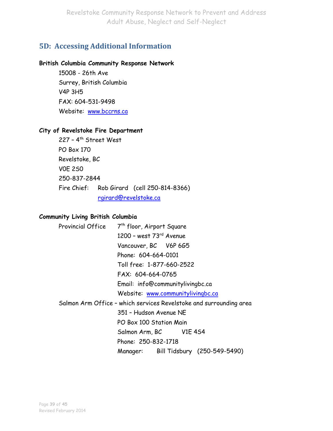#### **5D: Accessing Additional Information**

#### **British Columbia Community Response Network**

15008 - 26th Ave Surrey, British Columbia V4P 3H5 FAX: 604-531-9498 Website: [www.bccrns.ca](http://www.bccrns.ca/)

#### **City of Revelstoke Fire Department**

227 – 4 th Street West PO Box 170 Revelstoke, BC V0E 2S0 250-837-2844 Fire Chief: Rob Girard (cell 250-814-8366) [rgirard@revelstoke.ca](mailto:rgirard@revelstoke.ca)

#### **Community Living British Columbia**

Provincial Office 7<sup>th</sup> floor, Airport Square 1200 - west  $73<sup>rd</sup>$  Avenue Vancouver, BC V6P 6G5 Phone: 604-664-0101 Toll free: 1-877-660-2522 FAX: 604-664-0765 Email: info@communitylivingbc.ca Website: [www.communitylivingbc.ca](http://www.communitylivingbc.ca/) Salmon Arm Office – which services Revelstoke and surrounding area 351 – Hudson Avenue NE PO Box 100 Station Main Salmon Arm, BC V1E 4S4 Phone: 250-832-1718 Manager: Bill Tidsbury (250-549-5490)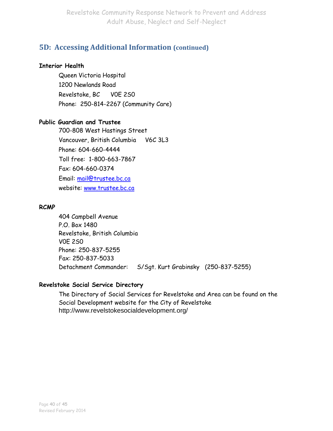#### **5D: Accessing Additional Information (continued)**

#### **Interior Health**

Queen Victoria Hospital 1200 Newlands Road Revelstoke, BC V0E 2S0 Phone: 250-814-2267 (Community Care)

#### **Public Guardian and Trustee**

700-808 West Hastings Street Vancouver, British Columbia V6C 3L3 Phone: 604-660-4444 Toll free: 1-800-663-7867 Fax: 604-660-0374 Email: [mail@trustee.bc.ca](mailto:mail@trustee.bc.ca) website: [www.trustee.bc.ca](http://www.trustee.bc.ca/)

#### **RCMP**

404 Campbell Avenue P.O. Box 1480 Revelstoke, British Columbia V0E 2S0 Phone: 250-837-5255 Fax: 250-837-5033 Detachment Commander: S/Sgt. Kurt Grabinsky (250-837-5255)

#### **Revelstoke Social Service Directory**

The Directory of Social Services for Revelstoke and Area can be found on the Social Development website for the City of Revelstoke http://www.revelstokesocialdevelopment.org/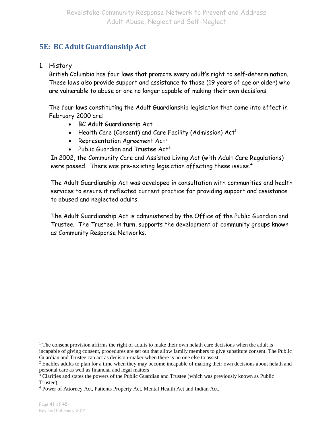#### **5E: BC Adult Guardianship Act**

#### 1. History

British Columbia has four laws that promote every adult's right to self-determination. These laws also provide support and assistance to those (19 years of age or older) who are vulnerable to abuse or are no longer capable of making their own decisions.

The four laws constituting the Adult Guardianship legislation that came into effect in February 2000 are:

- BC Adult Guardianship Act
- Health Care (Consent) and Care Facility (Admission)  $Act<sup>1</sup>$
- Representation Agreement  $Act^2$
- Public Guardian and Trustee  $Act<sup>3</sup>$

In 2002, the Community Care and Assisted Living Act (with Adult Care Regulations) were passed. There was pre-existing legislation affecting these issues.<sup>4</sup>

The Adult Guardianship Act was developed in consultation with communities and health services to ensure it reflected current practice for providing support and assistance to abused and neglected adults.

The Adult Guardianship Act is administered by the Office of the Public Guardian and Trustee. The Trustee, in turn, supports the development of community groups known as Community Response Networks.

 $\overline{a}$  $1$  The consent provision affirms the right of adults to make their own helath care decisions when the adult is incapable of giving consent, procedures are set out that allow family members to give substitute consent. The Public Guardian and Trustee can act as decision-maker when there is no one else to assist.

<sup>&</sup>lt;sup>2</sup> Enables adults to plan for a time when they may become incapable of making their own decisions about helath and personal care as well as financial and legal matters

<sup>&</sup>lt;sup>3</sup> Clarifies and states the powers of the Public Guardian and Trustee (which was previously known as Public Trustee).

<sup>4</sup> Power of Attorney Act, Patients Property Act, Mental Health Act and Indian Act.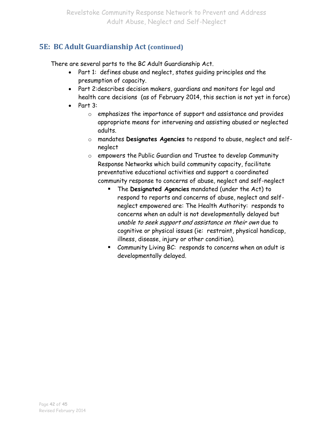#### **5E: BC Adult Guardianship Act (continued)**

There are several parts to the BC Adult Guardianship Act.

- Part 1: defines abuse and neglect, states guiding principles and the presumption of capacity.
- Part 2:describes decision makers, guardians and monitors for legal and health care decisions (as of February 2014, this section is not yet in force)
- $\bullet$  Part 3:
	- o emphasizes the importance of support and assistance and provides appropriate means for intervening and assisting abused or neglected adults.
	- o mandates **Designates Agencies** to respond to abuse, neglect and selfneglect
	- o empowers the Public Guardian and Trustee to develop Community Response Networks which build community capacity, facilitate preventative educational activities and support a coordinated community response to concerns of abuse, neglect and self-neglect
		- The **Designated Agencies** mandated (under the Act) to respond to reports and concerns of abuse, neglect and selfneglect empowered are: The Health Authority: responds to concerns when an adult is not developmentally delayed but unable to seek support and assistance on their own due to cognitive or physical issues (ie: restraint, physical handicap, illness, disease, injury or other condition).
		- Community Living BC: responds to concerns when an adult is developmentally delayed.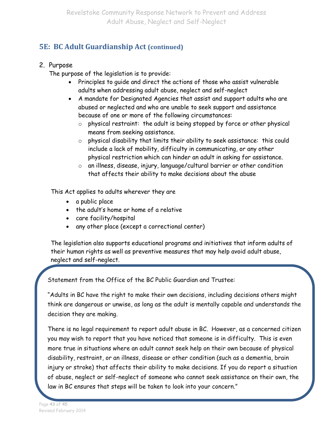#### **5E: BC Adult Guardianship Act (continued)**

#### 2. Purpose

The purpose of the legislation is to provide:

- Principles to guide and direct the actions of those who assist vulnerable adults when addressing adult abuse, neglect and self-neglect
- A mandate for Designated Agencies that assist and support adults who are abused or neglected and who are unable to seek support and assistance because of one or more of the following circumstances:
	- o physical restraint: the adult is being stopped by force or other physical means from seeking assistance.
	- o physical disability that limits their ability to seek assistance: this could include a lack of mobility, difficulty in communicating, or any other physical restriction which can hinder an adult in asking for assistance.
	- o an illness, disease, injury, language/cultural barrier or other condition that affects their ability to make decisions about the abuse

This Act applies to adults wherever they are

- a public place
- the adult's home or home of a relative
- care facility/hospital
- any other place (except a correctional center)

The legislation also supports educational programs and initiatives that inform adults of their human rights as well as preventive measures that may help avoid adult abuse, neglect and self-neglect.

Statement from the Office of the BC Public Guardian and Trustee:

"Adults in BC have the right to make their own decisions, including decisions others might think are dangerous or unwise, as long as the adult is mentally capable and understands the decision they are making.

There is no legal requirement to report adult abuse in BC. However, as a concerned citizen you may wish to report that you have noticed that someone is in difficulty. This is even more true in situations where an adult cannot seek help on their own because of physical disability, restraint, or an illness, disease or other condition (such as a dementia, brain injury or stroke) that affects their ability to make decisions. If you do report a situation of abuse, neglect or self-neglect of someone who cannot seek assistance on their own, the law in BC ensures that steps will be taken to look into your concern."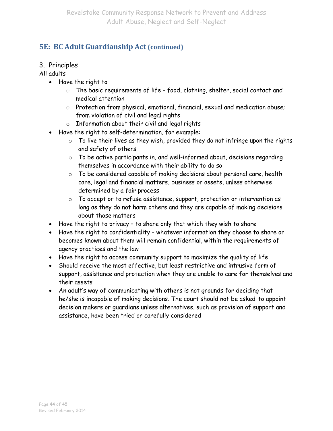#### **5E: BC Adult Guardianship Act (continued)**

3. Principles

All adults

- Have the right to
	- o The basic requirements of life food, clothing, shelter, social contact and medical attention
	- o Protection from physical, emotional, financial, sexual and medication abuse; from violation of civil and legal rights
	- o Information about their civil and legal rights
- Have the right to self-determination, for example:
	- $\circ$  To live their lives as they wish, provided they do not infringe upon the rights and safety of others
	- $\circ$  To be active participants in, and well-informed about, decisions regarding themselves in accordance with their ability to do so
	- o To be considered capable of making decisions about personal care, health care, legal and financial matters, business or assets, unless otherwise determined by a fair process
	- o To accept or to refuse assistance, support, protection or intervention as long as they do not harm others and they are capable of making decisions about those matters
- Have the right to privacy to share only that which they wish to share
- Have the right to confidentiality whatever information they choose to share or becomes known about them will remain confidential, within the requirements of agency practices and the law
- Have the right to access community support to maximize the quality of life
- Should receive the most effective, but least restrictive and intrusive form of support, assistance and protection when they are unable to care for themselves and their assets
- An adult's way of communicating with others is not grounds for deciding that he/she is incapable of making decisions. The court should not be asked to appoint decision makers or guardians unless alternatives, such as provision of support and assistance, have been tried or carefully considered